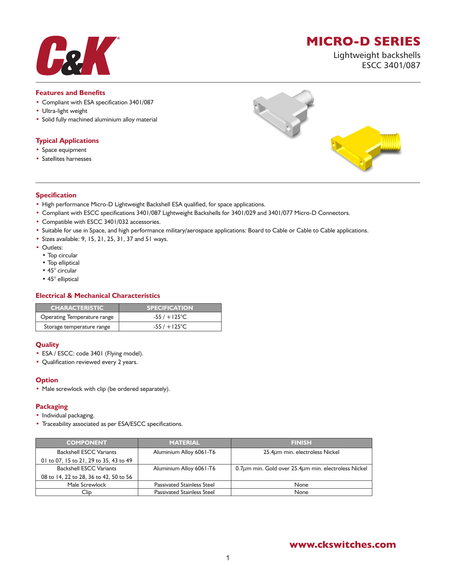# **MICRO-D SERIES**

Lightweight backshells ESCC 3401/087

#### **Features and Benefits**

- Compliant with ESA specification 3401/087
- Ultra-light weight
- Solid fully machined aluminium alloy material

### **Typical Applications**

- Space equipment
- Satellites harnesses



#### **Specification**

- High performance Micro-D Lightweight Backshell ESA qualified, for space applications.
- Compliant with ESCC specifications 3401/087 Lightweight Backshells for 3401/029 and 3401/077 Micro-D Connectors.
- Compatible with ESCC 3401/032 accessories.
- Suitable for use in Space, and high performance military/aerospace applications: Board to Cable or Cable to Cable applications.
- Sizes available: 9, 15, 21, 25, 31, 37 and 51 ways.
- Outlets:
	- Top circular
	- Top elliptical
	- 45° circular
	- 45° elliptical

## **Electrical & Mechanical Characteristics**

| <b>CHARACTERISTIC</b>       | <b>SPECIFICATION</b>   |
|-----------------------------|------------------------|
| Operating Temperature range | $-55/ + 125^{\circ}$ C |
| Storage temperature range   | $-55/ + 125^{\circ}$ C |

#### **Quality**

- ESA / ESCC: code 3401 (Flying model).
- Qualification reviewed every 2 years.

#### **Option**

• Male screwlock with clip (be ordered separately).

#### **Packaging**

- Individual packaging.
- Traceability associated as per ESA/ESCC specifications.

| <b>COMPONENT</b>                       | <b>MATERIAL</b>                   | <b>FINISH</b>                                                   |
|----------------------------------------|-----------------------------------|-----------------------------------------------------------------|
| <b>Backshell ESCC Variants</b>         | Aluminium Alloy 6061-T6           | $25.4\mu$ m min. electroless Nickel                             |
| 01 to 07, 15 to 21, 29 to 35, 43 to 49 |                                   |                                                                 |
| <b>Backshell ESCC Variants</b>         | Aluminium Alloy 6061-T6           | 0.7 $\mu$ m min. Gold over 25.4 $\mu$ m min. electroless Nickel |
| 08 to 14, 22 to 28, 36 to 42, 50 to 56 |                                   |                                                                 |
| Male Screwlock                         | <b>Passivated Stainless Steel</b> | None                                                            |
| Clip                                   | <b>Passivated Stainless Steel</b> | None                                                            |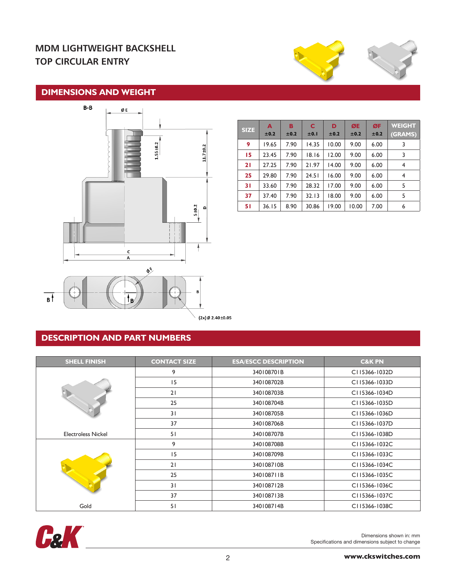# **MDM LIGHTWEIGHT BACKSHELL TOP CIRCULAR ENTRY**



## **DIMENSIONS AND WEIGHT**



| <b>SIZE</b> | A<br>±0.2 | в<br>±0.2 | C<br>±0.1 | D<br>±0.2 | ØE<br>±0.2 | ØF<br>±0.2 | <b>WEIGHT</b><br>(GRAMS) |
|-------------|-----------|-----------|-----------|-----------|------------|------------|--------------------------|
| 9           | 19.65     | 7.90      | 14.35     | 10.00     | 9.00       | 6.00       | 3                        |
| 15          | 23.45     | 7.90      | 18.16     | 12.00     | 9.00       | 6.00       | 3                        |
| 21          | 27.25     | 7.90      | 21.97     | 14.00     | 9.00       | 6.00       | 4                        |
| 25          | 29.80     | 7.90      | 24.51     | 16.00     | 9.00       | 6.00       | 4                        |
| 31          | 33.60     | 7.90      | 28.32     | 17.00     | 9.00       | 6.00       | 5                        |
| 37          | 37.40     | 7.90      | 32.13     | 18.00     | 9.00       | 6.00       | 5                        |
| 51          | 36.15     | 8.90      | 30.86     | 19.00     | 10.00      | 7.00       | 6                        |

 $(2x)$ Ø 2.40 $\pm$ 0.05

# **DESCRIPTION AND PART NUMBERS**

| <b>SHELL FINISH</b>       | <b>CONTACT SIZE</b> | <b>ESA/ESCC DESCRIPTION</b> | <b>C&amp;K PN</b> |
|---------------------------|---------------------|-----------------------------|-------------------|
|                           | 9                   | 340108701B                  | C115366-1032D     |
|                           | 15                  | 340108702B                  | C115366-1033D     |
|                           | 21                  | 340108703B                  | C115366-1034D     |
|                           | 25                  | 340108704B                  | C115366-1035D     |
|                           | 31                  | 340108705B                  | C115366-1036D     |
|                           | 37                  | 340108706B                  | C115366-1037D     |
| <b>Electroless Nickel</b> | 51                  | 340108707B                  | C115366-1038D     |
|                           | 9                   | 340108708B                  | C115366-1032C     |
|                           | 15                  | 340108709B                  | C115366-1033C     |
|                           | 21                  | 340108710B                  | C115366-1034C     |
|                           | 25                  | 340108711B                  | C115366-1035C     |
|                           | 31                  | 340108712B                  | C115366-1036C     |
|                           | 37                  | 340108713B                  | C115366-1037C     |
| Gold                      | 51                  | 340108714B                  | C115366-1038C     |

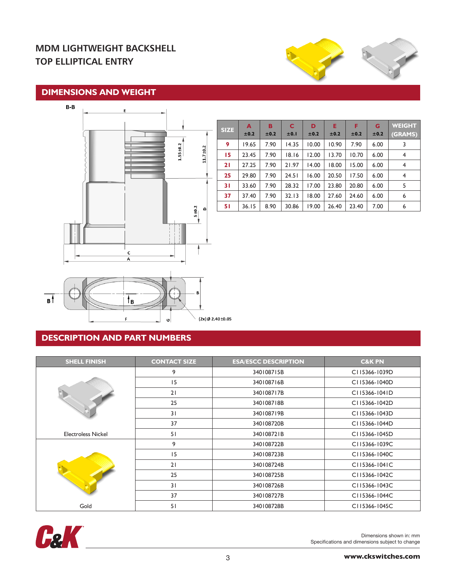# **MDM LIGHTWEIGHT BACKSHELL TOP ELLIPTICAL ENTRY**



## **DIMENSIONS AND WEIGHT**



| <b>SIZE</b> | A<br>±0.2 | в<br>±0.2 | C<br>±0.1 | D<br>±0.2 | Е<br>±0.2 | F<br>±0.2 | G<br>±0.2 | <b>WEIGHT</b><br>(GRAMS) |
|-------------|-----------|-----------|-----------|-----------|-----------|-----------|-----------|--------------------------|
| 9           | 19.65     | 7.90      | 14.35     | 10.00     | 10.90     | 7.90      | 6.00      | 3                        |
| 15          | 23.45     | 7.90      | 18.16     | 12.00     | 13.70     | 10.70     | 6.00      | 4                        |
| 21          | 27.25     | 7.90      | 21.97     | 14.00     | 18.00     | 15.00     | 6.00      | 4                        |
| 25          | 29.80     | 7.90      | 24.51     | 16.00     | 20.50     | 17.50     | 6.00      | $\overline{4}$           |
| 31          | 33.60     | 7.90      | 28.32     | 17.00     | 23.80     | 20.80     | 6.00      | 5                        |
| 37          | 37.40     | 7.90      | 32.13     | 18.00     | 27.60     | 24.60     | 6.00      | 6                        |
| 51          | 36.15     | 8.90      | 30.86     | 19.00     | 26.40     | 23.40     | 7.00      | 6                        |



# **DESCRIPTION AND PART NUMBERS**

| <b>SHELL FINISH</b>       | <b>CONTACT SIZE</b> | <b>ESA/ESCC DESCRIPTION</b> | <b>C&amp;K PN</b>            |
|---------------------------|---------------------|-----------------------------|------------------------------|
|                           | 9                   | 340108715B                  | CI15366-1039D                |
|                           | 15                  | 340108716B                  | CI15366-1040D                |
|                           | 21                  | 340108717B                  | C115366-1041D                |
|                           | 25                  | 340108718B                  | C115366-1042D                |
|                           | 31                  | 340108719B                  | C115366-1043D                |
|                           | 37                  | 340108720B                  | C115366-1044D                |
| <b>Electroless Nickel</b> | 51                  | 340108721B                  | CI15366-1045D                |
|                           | 9                   | 340108722B                  | C115366-1039C                |
|                           | 15                  | 340108723B                  | C115366-1040C                |
|                           | 21                  | 340108724B                  | $CI$ <sub>15366</sub> -1041C |
|                           | 25                  | 340108725B                  | C115366-1042C                |
|                           | 31                  | 340108726B                  | C115366-1043C                |
|                           | 37                  | 340108727B                  | C115366-1044C                |
| Gold                      | 51                  | 340108728B                  | C115366-1045C                |

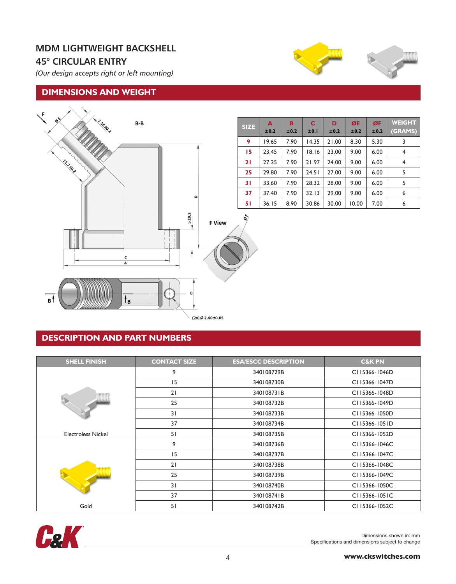# **MDM LIGHTWEIGHT BACKSHELL 45° CIRCULAR ENTRY**

*(Our design accepts right or left mounting)*

## **DIMENSIONS AND WEIGHT**



| <b>SIZE</b> | A<br>±0.2 | в<br>±0.2 | C<br>±0.1 | D<br>±0.2 | ØE<br>±0.2 | ØF<br>±0.2 | <b>WEIGHT</b><br>(GRAMS) |
|-------------|-----------|-----------|-----------|-----------|------------|------------|--------------------------|
| 9           | 19.65     | 7.90      | 14.35     | 21.00     | 8.30       | 5.30       | 3                        |
| 15          | 23.45     | 7.90      | 18.16     | 23.00     | 9.00       | 6.00       | 4                        |
| 21          | 27.25     | 7.90      | 21.97     | 24.00     | 9.00       | 6.00       | 4                        |
| 25          | 29.80     | 7.90      | 24.51     | 27.00     | 9.00       | 6.00       | 5                        |
| 31          | 33.60     | 7.90      | 28.32     | 28.00     | 9.00       | 6.00       | 5                        |
| 37          | 37.40     | 7.90      | 32.13     | 29.00     | 9.00       | 6.00       | 6                        |
| 51          | 36.15     | 8.90      | 30.86     | 30.00     | 10.00      | 7.00       | 6                        |

## **DESCRIPTION AND PART NUMBERS**

| <b>SHELL FINISH</b>       | <b>CONTACT SIZE</b> | <b>ESA/ESCC DESCRIPTION</b> | <b>C&amp;K PN</b>                         |
|---------------------------|---------------------|-----------------------------|-------------------------------------------|
|                           | 9                   | 340108729B                  | C115366-1046D                             |
| <b>TEFFEET</b>            | 15                  | 340108730B                  | C115366-1047D                             |
|                           | 21                  | 340108731B                  | C115366-1048D                             |
|                           | 25                  | 340108732B                  | C115366-1049D                             |
|                           | 31                  | 340108733B                  | C115366-1050D                             |
|                           | 37                  | 340108734B                  | $CI$ <sub>15366</sub> -105 <sub>1</sub> D |
| <b>Electroless Nickel</b> | 51                  | 340108735B                  | C115366-1052D                             |
|                           | 9                   | 340108736B                  | $CI$ 15366-1046C                          |
|                           | 15                  | 340108737B                  | $CI$ 15366-1047C                          |
|                           | 21                  | 340108738B                  | CI15366-1048C                             |
|                           | 25                  | 340108739B                  | CI15366-1049C                             |
|                           | 31                  | 340108740B                  | $CI$ 15366-1050C                          |
|                           | 37                  | 340108741B                  | $CI$ 15366-1051C                          |
| Gold                      | 51                  | 340108742B                  | CI15366-1052C                             |

ŏ

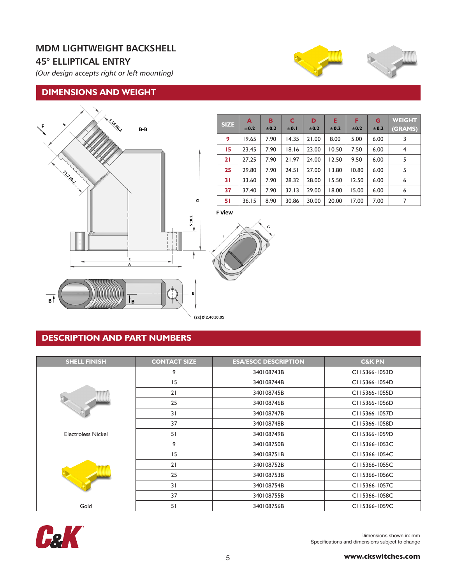# **MDM LIGHTWEIGHT BACKSHELL 45° ELLIPTICAL ENTRY**

*(Our design accepts right or left mounting)*

## **DIMENSIONS AND WEIGHT**



| <b>SIZE</b> | A<br>±0.2 | в<br>±0.2 | C<br>±0.1 | D<br>±0.2 | Е<br>±0.2 | F<br>±0.2 | G<br>±0.2 | <b>WEIGHT</b><br>(GRAMS) |
|-------------|-----------|-----------|-----------|-----------|-----------|-----------|-----------|--------------------------|
| 9           | 19.65     | 7.90      | 14.35     | 21.00     | 8.00      | 5.00      | 6.00      | 3                        |
| 15          | 23.45     | 7.90      | 18.16     | 23.00     | 10.50     | 7.50      | 6.00      | $\overline{4}$           |
| 21          | 27.25     | 7.90      | 21.97     | 24.00     | 12.50     | 9.50      | 6.00      | 5                        |
| 25          | 29.80     | 7.90      | 24.51     | 27.00     | 13.80     | 10.80     | 6.00      | 5                        |
| 31          | 33.60     | 7.90      | 28.32     | 28.00     | 15.50     | 12.50     | 6.00      | 6                        |
| 37          | 37.40     | 7.90      | 32.13     | 29.00     | 18.00     | 15.00     | 6.00      | 6                        |
| 51          | 36.15     | 8.90      | 30.86     | 30.00     | 20.00     | 17.00     | 7.00      | 7                        |

**F View** 



**DESCRIPTION AND PART NUMBERS**

| <b>SHELL FINISH</b>       | <b>CONTACT SIZE</b> | <b>ESA/ESCC DESCRIPTION</b> | <b>C&amp;K PN</b>            |
|---------------------------|---------------------|-----------------------------|------------------------------|
|                           | 9                   | 340108743B                  | $CI$ <sub>15366</sub> -1053D |
|                           | 15                  | 340108744B                  | C115366-1054D                |
|                           | 21                  | 340108745B                  | C115366-1055D                |
|                           | 25                  | 340108746B                  | C115366-1056D                |
|                           | 31                  | 340108747B                  | C115366-1057D                |
|                           | 37                  | 340108748B                  | C115366-1058D                |
| <b>Electroless Nickel</b> | 51                  | 340108749B                  | C115366-1059D                |
|                           | 9                   | 340108750B                  | $CI$ 15366-1053C             |
|                           | 15                  | 340108751B                  | C115366-1054C                |
|                           | 21                  | 340108752B                  | CI15366-1055C                |
|                           | 25                  | 340108753B                  | CI15366-1056C                |
|                           | 31                  | 340108754B                  | CI15366-1057C                |
|                           | 37                  | 340108755B                  | CI15366-1058C                |
| Gold                      | 51                  | 340108756B                  | CI15366-1059C                |